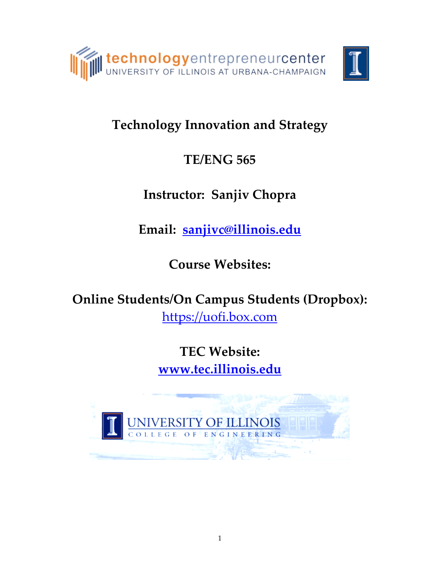

# **Technology Innovation and Strategy**

# **TE/ENG 565**

# **Instructor: Sanjiv Chopra**

**Email: [sanjivc@illinois.edu](mailto:sanjivc@illinois.edu)**

**Course Websites:** 

**Online Students/On Campus Students (Dropbox):** [https://uofi.box.com](https://uofi.box.com/)

> **TEC Website: [www.tec.illinois.edu](http://www.tec.illinois.edu/)**

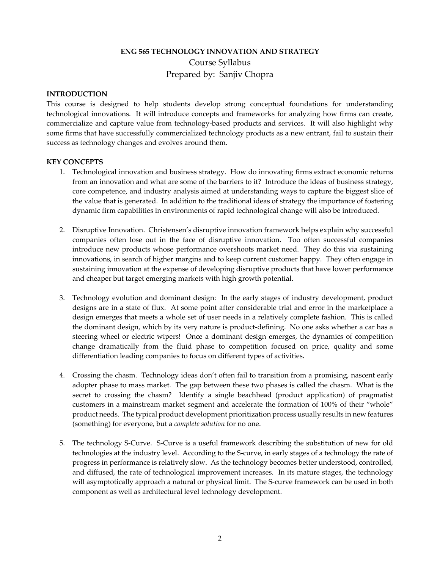## **ENG 565 TECHNOLOGY INNOVATION AND STRATEGY** Course Syllabus Prepared by: Sanjiv Chopra

#### **INTRODUCTION**

This course is designed to help students develop strong conceptual foundations for understanding technological innovations. It will introduce concepts and frameworks for analyzing how firms can create, commercialize and capture value from technology-based products and services. It will also highlight why some firms that have successfully commercialized technology products as a new entrant, fail to sustain their success as technology changes and evolves around them.

#### **KEY CONCEPTS**

- 1. Technological innovation and business strategy. How do innovating firms extract economic returns from an innovation and what are some of the barriers to it? Introduce the ideas of business strategy, core competence, and industry analysis aimed at understanding ways to capture the biggest slice of the value that is generated. In addition to the traditional ideas of strategy the importance of fostering dynamic firm capabilities in environments of rapid technological change will also be introduced.
- 2. Disruptive Innovation. Christensen's disruptive innovation framework helps explain why successful companies often lose out in the face of disruptive innovation. Too often successful companies introduce new products whose performance overshoots market need. They do this via sustaining innovations, in search of higher margins and to keep current customer happy. They often engage in sustaining innovation at the expense of developing disruptive products that have lower performance and cheaper but target emerging markets with high growth potential.
- 3. Technology evolution and dominant design: In the early stages of industry development, product designs are in a state of flux. At some point after considerable trial and error in the marketplace a design emerges that meets a whole set of user needs in a relatively complete fashion. This is called the dominant design, which by its very nature is product-defining. No one asks whether a car has a steering wheel or electric wipers! Once a dominant design emerges, the dynamics of competition change dramatically from the fluid phase to competition focused on price, quality and some differentiation leading companies to focus on different types of activities.
- 4. Crossing the chasm. Technology ideas don't often fail to transition from a promising, nascent early adopter phase to mass market. The gap between these two phases is called the chasm. What is the secret to crossing the chasm? Identify a single beachhead (product application) of pragmatist customers in a mainstream market segment and accelerate the formation of 100% of their "whole" product needs. The typical product development prioritization process usually results in new features (something) for everyone, but a *complete solution* for no one.
- 5. The technology S-Curve. S-Curve is a useful framework describing the substitution of new for old technologies at the industry level. According to the S-curve, in early stages of a technology the rate of progress in performance is relatively slow. As the technology becomes better understood, controlled, and diffused, the rate of technological improvement increases. In its mature stages, the technology will asymptotically approach a natural or physical limit. The S-curve framework can be used in both component as well as architectural level technology development.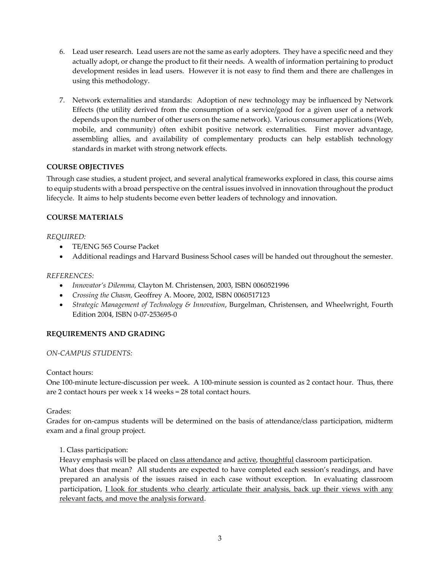- 6. Lead user research. Lead users are not the same as early adopters. They have a specific need and they actually adopt, or change the product to fit their needs. A wealth of information pertaining to product development resides in lead users. However it is not easy to find them and there are challenges in using this methodology.
- 7. Network externalities and standards: Adoption of new technology may be influenced by Network Effects (the utility derived from the consumption of a service/good for a given user of a network depends upon the number of other users on the same network). Various consumer applications (Web, mobile, and community) often exhibit positive network externalities. First mover advantage, assembling allies, and availability of complementary products can help establish technology standards in market with strong network effects.

#### **COURSE OBJECTIVES**

Through case studies, a student project, and several analytical frameworks explored in class, this course aims to equip students with a broad perspective on the central issues involved in innovation throughout the product lifecycle. It aims to help students become even better leaders of technology and innovation.

#### **COURSE MATERIALS**

*REQUIRED:*

- TE/ENG 565 Course Packet
- Additional readings and Harvard Business School cases will be handed out throughout the semester.

#### *REFERENCES:*

- *Innovator's Dilemma,* Clayton M. Christensen, 2003, ISBN 0060521996
- *Crossing the Chasm,* Geoffrey A. Moore, 2002, ISBN 0060517123
- *Strategic Management of Technology & Innovation*, Burgelman, Christensen, and Wheelwright, Fourth Edition 2004, ISBN 0-07-253695-0

#### **REQUIREMENTS AND GRADING**

#### *ON-CAMPUS STUDENTS:*

Contact hours:

One 100-minute lecture-discussion per week. A 100-minute session is counted as 2 contact hour. Thus, there are 2 contact hours per week x 14 weeks = 28 total contact hours.

Grades:

Grades for on-campus students will be determined on the basis of attendance/class participation, midterm exam and a final group project.

#### 1. Class participation:

Heavy emphasis will be placed on class attendance and active, thoughtful classroom participation. What does that mean? All students are expected to have completed each session's readings, and have

prepared an analysis of the issues raised in each case without exception. In evaluating classroom participation, <u>I look for students who clearly articulate their analysis, back up their views with any</u> relevant facts, and move the analysis forward.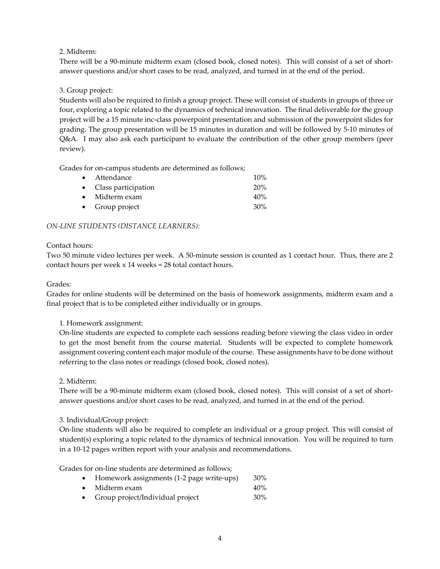#### 2. Midterm:

There will be a 90-minute midterm exam (closed book, closed notes). This will consist of a set of shortanswer questions and/or short cases to be read, analyzed, and turned in at the end of the period.

#### 3. Group project:

Students will also be required to finish a group project. These will consist of students in groups of three or four, exploring a topic related to the dynamics of technical innovation. The final deliverable for the group project will be a 15 minute inc-class powerpoint presentation and submission of the powerpoint slides for grading. The group presentation will be 15 minutes in duration and will be followed by 5-10 minutes of Q&A. I may also ask each participant to evaluate the contribution of the other group members (peer review).

Grades for on-campus students are determined as follows;

| • Attendance           | $10\%$ |
|------------------------|--------|
| • Class participation  | 20%    |
| $\bullet$ Midterm exam | 40%    |
| • Group project        | 30%    |

#### *ON-LINE STUDENTS (DISTANCE LEARNERS):*

#### Contact hours:

Two 50 minute video lectures per week. A 50-minute session is counted as 1 contact hour. Thus, there are 2 contact hours per week x 14 weeks = 28 total contact hours.

#### Grades:

Grades for online students will be determined on the basis of homework assignments, midterm exam and a final project that is to be completed either individually or in groups.

#### 1. Homework assignment:

On-line students are expected to complete each sessions reading before viewing the class video in order to get the most benefit from the course material. Students will be expected to complete homework assignment covering content each major module of the course. These assignments have to be done without referring to the class notes or readings (closed book, closed notes).

2. Midterm:

There will be a 90-minute midterm exam (closed book, closed notes). This will consist of a set of shortanswer questions and/or short cases to be read, analyzed, and turned in at the end of the period.

#### 3. Individual/Group project:

On-line students will also be required to complete an individual or a group project. This will consist of student(s) exploring a topic related to the dynamics of technical innovation. You will be required to turn in a 10-12 pages written report with your analysis and recommendations.

Grades for on-line students are determined as follows;

- Homework assignments (1-2 page write-ups) 30%
- Midterm exam 40%
- Group project/Individual project 30%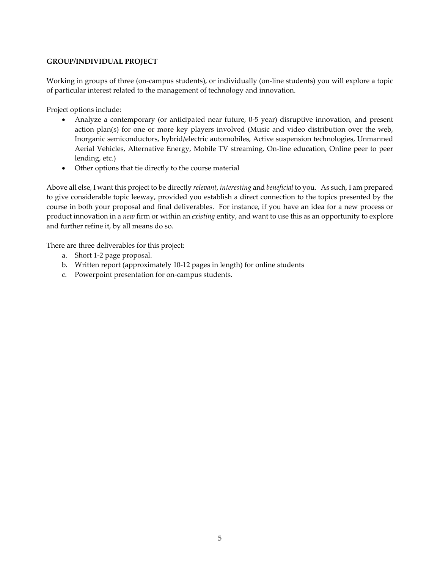#### **GROUP/INDIVIDUAL PROJECT**

Working in groups of three (on-campus students), or individually (on-line students) you will explore a topic of particular interest related to the management of technology and innovation.

Project options include:

- Analyze a contemporary (or anticipated near future, 0-5 year) disruptive innovation, and present action plan(s) for one or more key players involved (Music and video distribution over the web, Inorganic semiconductors, hybrid/electric automobiles, Active suspension technologies, Unmanned Aerial Vehicles, Alternative Energy, Mobile TV streaming, On-line education, Online peer to peer lending, etc.)
- Other options that tie directly to the course material

Above all else, I want this project to be directly *relevant*, *interesting* and *beneficial* to you. As such, I am prepared to give considerable topic leeway, provided you establish a direct connection to the topics presented by the course in both your proposal and final deliverables. For instance, if you have an idea for a new process or product innovation in a *new* firm or within an *existing* entity, and want to use this as an opportunity to explore and further refine it, by all means do so.

There are three deliverables for this project:

- a. Short 1-2 page proposal.
- b. Written report (approximately 10-12 pages in length) for online students
- c. Powerpoint presentation for on-campus students.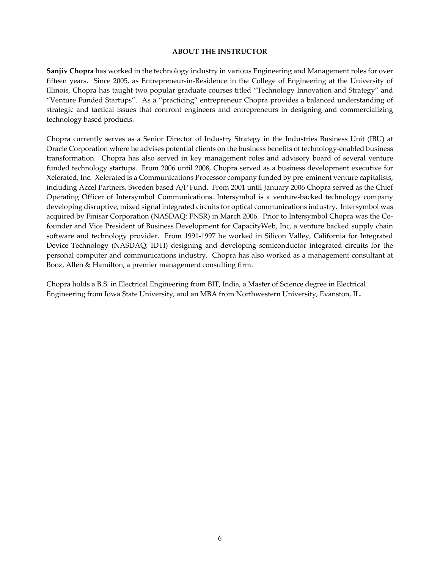#### **ABOUT THE INSTRUCTOR**

**Sanjiv Chopra** has worked in the technology industry in various Engineering and Management roles for over fifteen years. Since 2005, as Entrepreneur-in-Residence in the College of Engineering at the University of Illinois, Chopra has taught two popular graduate courses titled "Technology Innovation and Strategy" and "Venture Funded Startups". As a "practicing" entrepreneur Chopra provides a balanced understanding of strategic and tactical issues that confront engineers and entrepreneurs in designing and commercializing technology based products.

Chopra currently serves as a Senior Director of Industry Strategy in the Industries Business Unit (IBU) at Oracle Corporation where he advises potential clients on the business benefits of technology-enabled business transformation. Chopra has also served in key management roles and advisory board of several venture funded technology startups. From 2006 until 2008, Chopra served as a business development executive for Xelerated, Inc. Xelerated is a Communications Processor company funded by pre-eminent venture capitalists, including Accel Partners, Sweden based A/P Fund. From 2001 until January 2006 Chopra served as the Chief Operating Officer of Intersymbol Communications. Intersymbol is a venture-backed technology company developing disruptive, mixed signal integrated circuits for optical communications industry. Intersymbol was acquired by Finisar Corporation (NASDAQ: FNSR) in March 2006. Prior to Intersymbol Chopra was the Cofounder and Vice President of Business Development for CapacityWeb, Inc, a venture backed supply chain software and technology provider. From 1991-1997 he worked in Silicon Valley, California for Integrated Device Technology (NASDAQ: IDTI) designing and developing semiconductor integrated circuits for the personal computer and communications industry. Chopra has also worked as a management consultant at Booz, Allen & Hamilton, a premier management consulting firm.

Chopra holds a B.S. in Electrical Engineering from BIT, India, a Master of Science degree in Electrical Engineering from Iowa State University, and an MBA from Northwestern University, Evanston, IL.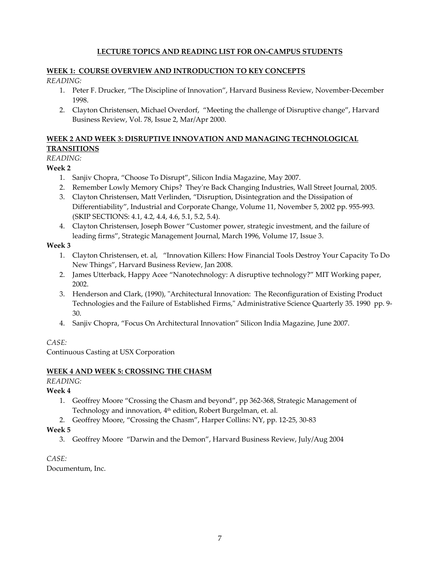#### **LECTURE TOPICS AND READING LIST FOR ON-CAMPUS STUDENTS**

#### **WEEK 1: COURSE OVERVIEW AND INTRODUCTION TO KEY CONCEPTS**

#### *READING:*

- 1. Peter F. Drucker, "The Discipline of Innovation", Harvard Business Review, November-December 1998.
- 2. Clayton Christensen, Michael Overdorf, "Meeting the challenge of Disruptive change", Harvard Business Review, Vol. 78, Issue 2, Mar/Apr 2000.

#### **WEEK 2 AND WEEK 3: DISRUPTIVE INNOVATION AND MANAGING TECHNOLOGICAL TRANSITIONS**

# *READING:*

#### **Week 2**

- 1. Sanjiv Chopra, "Choose To Disrupt", Silicon India Magazine, May 2007.
- 2. Remember Lowly Memory Chips? They're Back Changing Industries, Wall Street Journal, 2005.
- 3. Clayton Christensen, Matt Verlinden, "Disruption, Disintegration and the Dissipation of Differentiability", Industrial and Corporate Change, Volume 11, November 5, 2002 pp. 955-993. (SKIP SECTIONS: 4.1, 4.2, 4.4, 4.6, 5.1, 5.2, 5.4).
- 4. Clayton Christensen, Joseph Bower "Customer power, strategic investment, and the failure of leading firms", Strategic Management Journal, March 1996, Volume 17, Issue 3.

#### **Week 3**

- 1. Clayton Christensen, et. al, "Innovation Killers: How Financial Tools Destroy Your Capacity To Do New Things", Harvard Business Review, Jan 2008.
- 2. James Utterback, Happy Acee "Nanotechnology: A disruptive technology?" MIT Working paper, 2002.
- 3. Henderson and Clark, (1990), "Architectural Innovation: The Reconfiguration of Existing Product Technologies and the Failure of Established Firms," Administrative Science Quarterly 35. 1990 pp. 9- 30.
- 4. Sanjiv Chopra, "Focus On Architectural Innovation" Silicon India Magazine, June 2007.

#### *CASE:*

Continuous Casting at USX Corporation

#### **WEEK 4 AND WEEK 5: CROSSING THE CHASM**

*READING:*

#### **Week 4**

- 1. Geoffrey Moore "Crossing the Chasm and beyond", pp 362-368, Strategic Management of Technology and innovation, 4<sup>th</sup> edition, Robert Burgelman, et. al.
- 2. Geoffrey Moore, "Crossing the Chasm", Harper Collins: NY, pp. 12-25, 30-83

#### **Week 5**

3. Geoffrey Moore "Darwin and the Demon", Harvard Business Review, July/Aug 2004

*CASE:*

Documentum, Inc.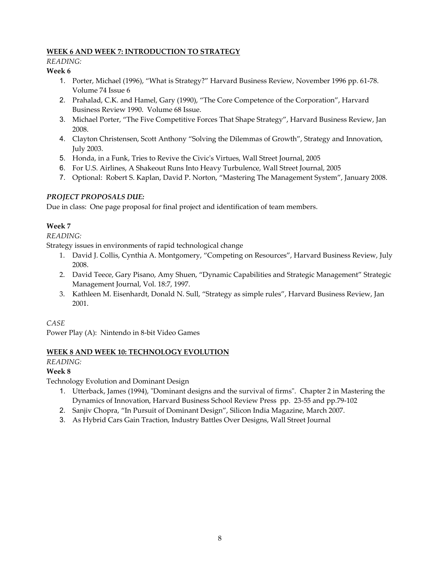#### **WEEK 6 AND WEEK 7: INTRODUCTION TO STRATEGY**

#### *READING:*

#### **Week 6**

- 1. Porter, Michael (1996), "What is Strategy?" Harvard Business Review, November 1996 pp. 61-78. Volume 74 Issue 6
- 2. Prahalad, C.K. and Hamel, Gary (1990), "The Core Competence of the Corporation", Harvard Business Review 1990. Volume 68 Issue.
- 3. Michael Porter, "The Five Competitive Forces That Shape Strategy", Harvard Business Review, Jan 2008.
- 4. Clayton Christensen, Scott Anthony "Solving the Dilemmas of Growth", Strategy and Innovation, July 2003.
- 5. Honda, in a Funk, Tries to Revive the Civic's Virtues, Wall Street Journal, 2005
- 6. For U.S. Airlines, A Shakeout Runs Into Heavy Turbulence, Wall Street Journal, 2005
- 7. Optional: Robert S. Kaplan, David P. Norton, "Mastering The Management System", January 2008.

#### *PROJECT PROPOSALS DUE:*

Due in class: One page proposal for final project and identification of team members.

#### **Week 7**

#### *READING:*

Strategy issues in environments of rapid technological change

- 1. David J. Collis, Cynthia A. Montgomery, "Competing on Resources", Harvard Business Review, July 2008.
- 2. David Teece, Gary Pisano, Amy Shuen, "Dynamic Capabilities and Strategic Management" Strategic Management Journal, Vol. 18:7, 1997.
- 3. Kathleen M. Eisenhardt, Donald N. Sull, "Strategy as simple rules", Harvard Business Review, Jan 2001.
- *CASE*

Power Play (A): Nintendo in 8-bit Video Games

#### **WEEK 8 AND WEEK 10: TECHNOLOGY EVOLUTION**

*READING:*

#### **Week 8**

Technology Evolution and Dominant Design

- 1. Utterback, James (1994), "Dominant designs and the survival of firms". Chapter 2 in Mastering the Dynamics of Innovation, Harvard Business School Review Press pp. 23-55 and pp.79-102
- 2. Sanjiv Chopra, "In Pursuit of Dominant Design", Silicon India Magazine, March 2007.
- 3. As Hybrid Cars Gain Traction, Industry Battles Over Designs, Wall Street Journal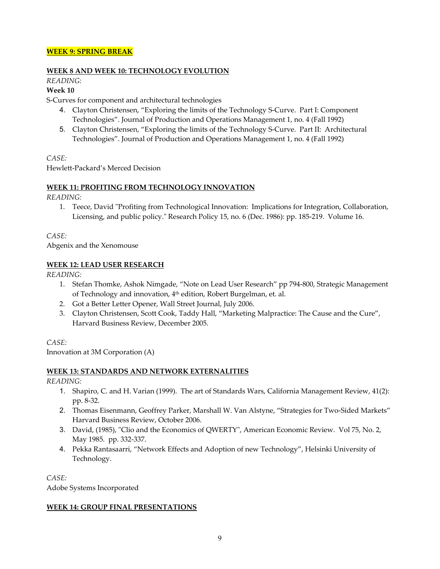#### **WEEK 9: SPRING BREAK**

#### **WEEK 8 AND WEEK 10: TECHNOLOGY EVOLUTION**

# *READING:*

#### **Week 10**

S-Curves for component and architectural technologies

- 4. Clayton Christensen, "Exploring the limits of the Technology S-Curve. Part I: Component Technologies". Journal of Production and Operations Management 1, no. 4 (Fall 1992)
- 5. Clayton Christensen, "Exploring the limits of the Technology S-Curve. Part II: Architectural Technologies". Journal of Production and Operations Management 1, no. 4 (Fall 1992)

#### *CASE:*

Hewlett-Packard's Merced Decision

#### **WEEK 11: PROFITING FROM TECHNOLOGY INNOVATION**

*READING:*

1. Teece, David "Profiting from Technological Innovation: Implications for Integration, Collaboration, Licensing, and public policy." Research Policy 15, no. 6 (Dec. 1986): pp. 185-219. Volume 16.

*CASE:*

Abgenix and the Xenomouse

#### **WEEK 12: LEAD USER RESEARCH**

*READING:*

- 1. Stefan Thomke, Ashok Nimgade, "Note on Lead User Research" pp 794-800, Strategic Management of Technology and innovation, 4th edition, Robert Burgelman, et. al.
- 2. Got a Better Letter Opener, Wall Street Journal, July 2006.
- 3. Clayton Christensen, Scott Cook, Taddy Hall, "Marketing Malpractice: The Cause and the Cure", Harvard Business Review, December 2005.

*CASE:*

Innovation at 3M Corporation (A)

#### **WEEK 13: STANDARDS AND NETWORK EXTERNALITIES**

*READING:*

- 1. Shapiro, C. and H. Varian (1999). The art of Standards Wars, California Management Review, 41(2): pp. 8-32.
- 2. Thomas Eisenmann, Geoffrey Parker, Marshall W. Van Alstyne, "Strategies for Two-Sided Markets" Harvard Business Review, October 2006.
- 3. David, (1985), "Clio and the Economics of QWERTY", American Economic Review. Vol 75, No. 2, May 1985. pp. 332-337.
- 4. Pekka Rantasaarri, "Network Effects and Adoption of new Technology", Helsinki University of Technology.

*CASE:*

Adobe Systems Incorporated

#### **WEEK 14: GROUP FINAL PRESENTATIONS**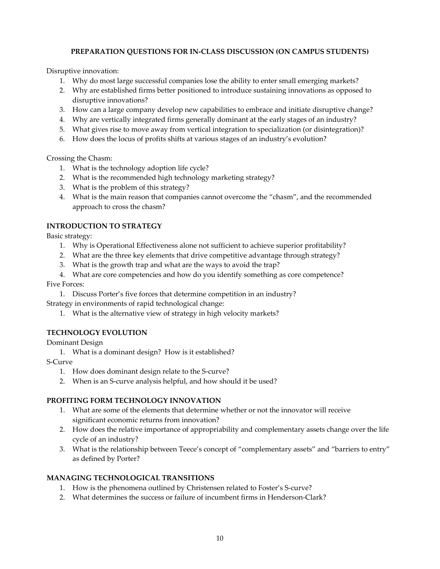#### **PREPARATION QUESTIONS FOR IN-CLASS DISCUSSION (ON CAMPUS STUDENTS)**

Disruptive innovation:

- 1. Why do most large successful companies lose the ability to enter small emerging markets?
- 2. Why are established firms better positioned to introduce sustaining innovations as opposed to disruptive innovations?
- 3. How can a large company develop new capabilities to embrace and initiate disruptive change?
- 4. Why are vertically integrated firms generally dominant at the early stages of an industry?
- 5. What gives rise to move away from vertical integration to specialization (or disintegration)?
- 6. How does the locus of profits shifts at various stages of an industry's evolution?

Crossing the Chasm:

- 1. What is the technology adoption life cycle?
- 2. What is the recommended high technology marketing strategy?
- 3. What is the problem of this strategy?
- 4. What is the main reason that companies cannot overcome the "chasm", and the recommended approach to cross the chasm?

#### **INTRODUCTION TO STRATEGY**

Basic strategy:

- 1. Why is Operational Effectiveness alone not sufficient to achieve superior profitability?
- 2. What are the three key elements that drive competitive advantage through strategy?
- 3. What is the growth trap and what are the ways to avoid the trap?
- 4. What are core competencies and how do you identify something as core competence?

Five Forces:

1. Discuss Porter's five forces that determine competition in an industry?

Strategy in environments of rapid technological change:

1. What is the alternative view of strategy in high velocity markets?

#### **TECHNOLOGY EVOLUTION**

Dominant Design

1. What is a dominant design? How is it established?

S-Curve

- 1. How does dominant design relate to the S-curve?
- 2. When is an S-curve analysis helpful, and how should it be used?

#### **PROFITING FORM TECHNOLOGY INNOVATION**

- 1. What are some of the elements that determine whether or not the innovator will receive significant economic returns from innovation?
- 2. How does the relative importance of appropriability and complementary assets change over the life cycle of an industry?
- 3. What is the relationship between Teece's concept of "complementary assets" and "barriers to entry" as defined by Porter?

#### **MANAGING TECHNOLOGICAL TRANSITIONS**

- 1. How is the phenomena outlined by Christensen related to Foster's S-curve?
- 2. What determines the success or failure of incumbent firms in Henderson-Clark?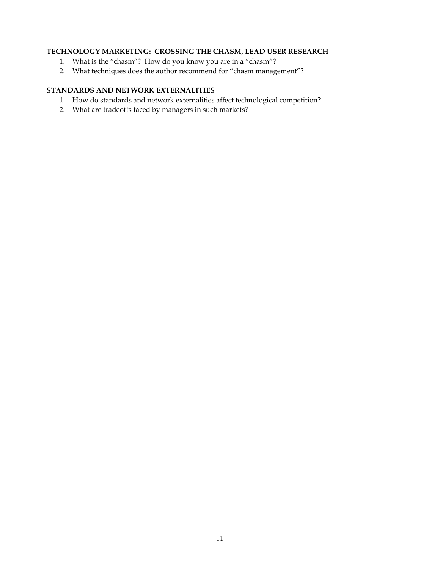#### **TECHNOLOGY MARKETING: CROSSING THE CHASM, LEAD USER RESEARCH**

- 1. What is the "chasm"? How do you know you are in a "chasm"?
- 2. What techniques does the author recommend for "chasm management"?

#### **STANDARDS AND NETWORK EXTERNALITIES**

- 1. How do standards and network externalities affect technological competition?
- 2. What are tradeoffs faced by managers in such markets?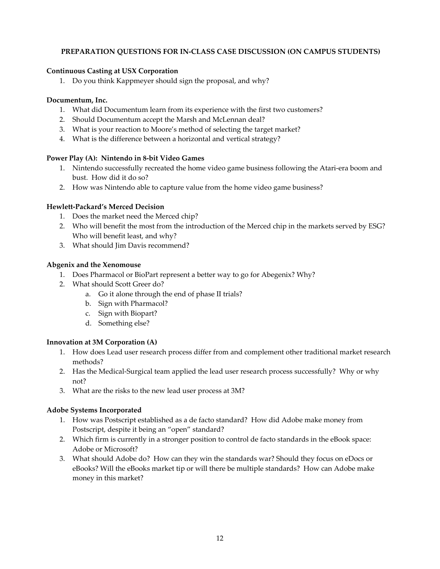#### **PREPARATION QUESTIONS FOR IN-CLASS CASE DISCUSSION (ON CAMPUS STUDENTS)**

#### **Continuous Casting at USX Corporation**

1. Do you think Kappmeyer should sign the proposal, and why?

#### **Documentum, Inc.**

- 1. What did Documentum learn from its experience with the first two customers?
- 2. Should Documentum accept the Marsh and McLennan deal?
- 3. What is your reaction to Moore's method of selecting the target market?
- 4. What is the difference between a horizontal and vertical strategy?

#### **Power Play (A): Nintendo in 8-bit Video Games**

- 1. Nintendo successfully recreated the home video game business following the Atari-era boom and bust. How did it do so?
- 2. How was Nintendo able to capture value from the home video game business?

#### **Hewlett-Packard's Merced Decision**

- 1. Does the market need the Merced chip?
- 2. Who will benefit the most from the introduction of the Merced chip in the markets served by ESG? Who will benefit least, and why?
- 3. What should Jim Davis recommend?

#### **Abgenix and the Xenomouse**

- 1. Does Pharmacol or BioPart represent a better way to go for Abegenix? Why?
- 2. What should Scott Greer do?
	- a. Go it alone through the end of phase II trials?
	- b. Sign with Pharmacol?
	- c. Sign with Biopart?
	- d. Something else?

#### **Innovation at 3M Corporation (A)**

- 1. How does Lead user research process differ from and complement other traditional market research methods?
- 2. Has the Medical-Surgical team applied the lead user research process successfully? Why or why not?
- 3. What are the risks to the new lead user process at 3M?

#### **Adobe Systems Incorporated**

- 1. How was Postscript established as a de facto standard? How did Adobe make money from Postscript, despite it being an "open" standard?
- 2. Which firm is currently in a stronger position to control de facto standards in the eBook space: Adobe or Microsoft?
- 3. What should Adobe do? How can they win the standards war? Should they focus on eDocs or eBooks? Will the eBooks market tip or will there be multiple standards? How can Adobe make money in this market?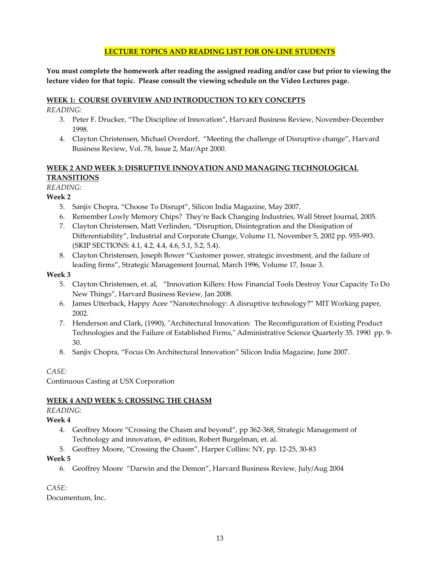#### **LECTURE TOPICS AND READING LIST FOR ON-LINE STUDENTS**

**You must complete the homework after reading the assigned reading and/or case but prior to viewing the lecture video for that topic. Please consult the viewing schedule on the Video Lectures page.**

#### **WEEK 1: COURSE OVERVIEW AND INTRODUCTION TO KEY CONCEPTS**

*READING:*

- 3. Peter F. Drucker, "The Discipline of Innovation", Harvard Business Review, November-December 1998.
- 4. Clayton Christensen, Michael Overdorf, "Meeting the challenge of Disruptive change", Harvard Business Review, Vol. 78, Issue 2, Mar/Apr 2000.

### **WEEK 2 AND WEEK 3: DISRUPTIVE INNOVATION AND MANAGING TECHNOLOGICAL TRANSITIONS**

#### *READING:*

#### **Week 2**

- 5. Sanjiv Chopra, "Choose To Disrupt", Silicon India Magazine, May 2007.
- 6. Remember Lowly Memory Chips? They're Back Changing Industries, Wall Street Journal, 2005.
- 7. Clayton Christensen, Matt Verlinden, "Disruption, Disintegration and the Dissipation of Differentiability", Industrial and Corporate Change, Volume 11, November 5, 2002 pp. 955-993. (SKIP SECTIONS: 4.1, 4.2, 4.4, 4.6, 5.1, 5.2, 5.4).
- 8. Clayton Christensen, Joseph Bower "Customer power, strategic investment, and the failure of leading firms", Strategic Management Journal, March 1996, Volume 17, Issue 3.

#### **Week 3**

- 5. Clayton Christensen, et. al, "Innovation Killers: How Financial Tools Destroy Your Capacity To Do New Things", Harvard Business Review, Jan 2008.
- 6. James Utterback, Happy Acee "Nanotechnology: A disruptive technology?" MIT Working paper, 2002.
- 7. Henderson and Clark, (1990), "Architectural Innovation: The Reconfiguration of Existing Product Technologies and the Failure of Established Firms," Administrative Science Quarterly 35. 1990 pp. 9- 30.
- 8. Sanjiv Chopra, "Focus On Architectural Innovation" Silicon India Magazine, June 2007.

#### *CASE:*

Continuous Casting at USX Corporation

#### **WEEK 4 AND WEEK 5: CROSSING THE CHASM**

#### *READING:*

#### **Week 4**

- 4. Geoffrey Moore "Crossing the Chasm and beyond", pp 362-368, Strategic Management of Technology and innovation, 4<sup>th</sup> edition, Robert Burgelman, et. al.
- 5. Geoffrey Moore, "Crossing the Chasm", Harper Collins: NY, pp. 12-25, 30-83

#### **Week 5**

6. Geoffrey Moore "Darwin and the Demon", Harvard Business Review, July/Aug 2004

#### *CASE:*

Documentum, Inc.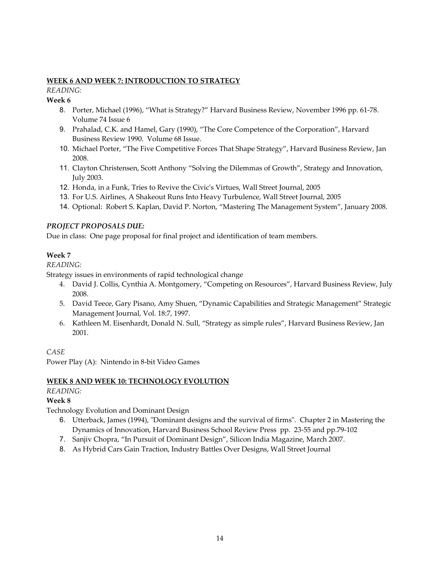#### **WEEK 6 AND WEEK 7: INTRODUCTION TO STRATEGY**

*READING:*

#### **Week 6**

- 8. Porter, Michael (1996), "What is Strategy?" Harvard Business Review, November 1996 pp. 61-78. Volume 74 Issue 6
- 9. Prahalad, C.K. and Hamel, Gary (1990), "The Core Competence of the Corporation", Harvard Business Review 1990. Volume 68 Issue.
- 10. Michael Porter, "The Five Competitive Forces That Shape Strategy", Harvard Business Review, Jan 2008.
- 11. Clayton Christensen, Scott Anthony "Solving the Dilemmas of Growth", Strategy and Innovation, July 2003.
- 12. Honda, in a Funk, Tries to Revive the Civic's Virtues, Wall Street Journal, 2005
- 13. For U.S. Airlines, A Shakeout Runs Into Heavy Turbulence, Wall Street Journal, 2005
- 14. Optional: Robert S. Kaplan, David P. Norton, "Mastering The Management System", January 2008.

#### *PROJECT PROPOSALS DUE:*

Due in class: One page proposal for final project and identification of team members.

#### **Week 7**

#### *READING:*

Strategy issues in environments of rapid technological change

- 4. David J. Collis, Cynthia A. Montgomery, "Competing on Resources", Harvard Business Review, July 2008.
- 5. David Teece, Gary Pisano, Amy Shuen, "Dynamic Capabilities and Strategic Management" Strategic Management Journal, Vol. 18:7, 1997.
- 6. Kathleen M. Eisenhardt, Donald N. Sull, "Strategy as simple rules", Harvard Business Review, Jan 2001.

*CASE*

Power Play (A): Nintendo in 8-bit Video Games

# **WEEK 8 AND WEEK 10: TECHNOLOGY EVOLUTION**

# *READING:*

### **Week 8**

Technology Evolution and Dominant Design

- 6. Utterback, James (1994), "Dominant designs and the survival of firms". Chapter 2 in Mastering the Dynamics of Innovation, Harvard Business School Review Press pp. 23-55 and pp.79-102
- 7. Sanjiv Chopra, "In Pursuit of Dominant Design", Silicon India Magazine, March 2007.
- 8. As Hybrid Cars Gain Traction, Industry Battles Over Designs, Wall Street Journal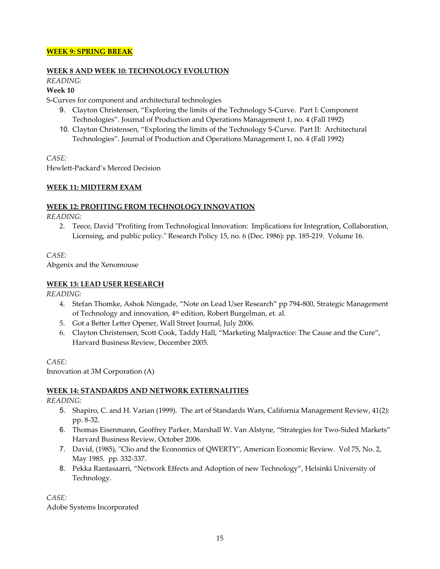#### **WEEK 9: SPRING BREAK**

#### **WEEK 8 AND WEEK 10: TECHNOLOGY EVOLUTION**

# *READING:*

#### **Week 10**

S-Curves for component and architectural technologies

- 9. Clayton Christensen, "Exploring the limits of the Technology S-Curve. Part I: Component Technologies". Journal of Production and Operations Management 1, no. 4 (Fall 1992)
- 10. Clayton Christensen, "Exploring the limits of the Technology S-Curve. Part II: Architectural Technologies". Journal of Production and Operations Management 1, no. 4 (Fall 1992)

*CASE:*

Hewlett-Packard's Merced Decision

#### **WEEK 11: MIDTERM EXAM**

#### **WEEK 12: PROFITING FROM TECHNOLOGY INNOVATION**

*READING:*

2. Teece, David "Profiting from Technological Innovation: Implications for Integration, Collaboration, Licensing, and public policy." Research Policy 15, no. 6 (Dec. 1986): pp. 185-219. Volume 16.

*CASE:*

Abgenix and the Xenomouse

#### **WEEK 13: LEAD USER RESEARCH**

*READING:*

- 4. Stefan Thomke, Ashok Nimgade, "Note on Lead User Research" pp 794-800, Strategic Management of Technology and innovation, 4th edition, Robert Burgelman, et. al.
- 5. Got a Better Letter Opener, Wall Street Journal, July 2006.
- 6. Clayton Christensen, Scott Cook, Taddy Hall, "Marketing Malpractice: The Cause and the Cure", Harvard Business Review, December 2005.

*CASE:*

Innovation at 3M Corporation (A)

#### **WEEK 14: STANDARDS AND NETWORK EXTERNALITIES**

*READING:*

- 5. Shapiro, C. and H. Varian (1999). The art of Standards Wars, California Management Review, 41(2): pp. 8-32.
- 6. Thomas Eisenmann, Geoffrey Parker, Marshall W. Van Alstyne, "Strategies for Two-Sided Markets" Harvard Business Review, October 2006.
- 7. David, (1985), "Clio and the Economics of QWERTY", American Economic Review. Vol 75, No. 2, May 1985. pp. 332-337.
- 8. Pekka Rantasaarri, "Network Effects and Adoption of new Technology", Helsinki University of Technology.

*CASE:*

Adobe Systems Incorporated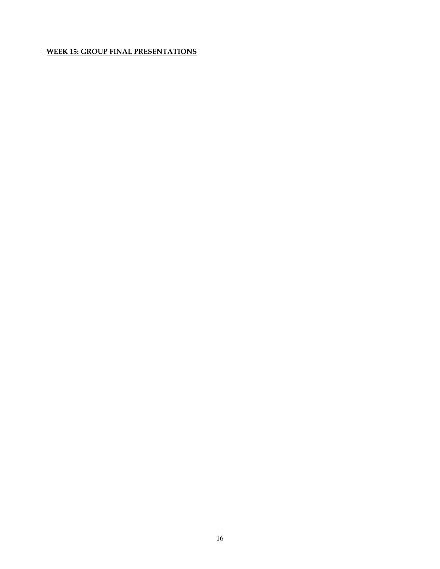### **WEEK 15: GROUP FINAL PRESENTATIONS**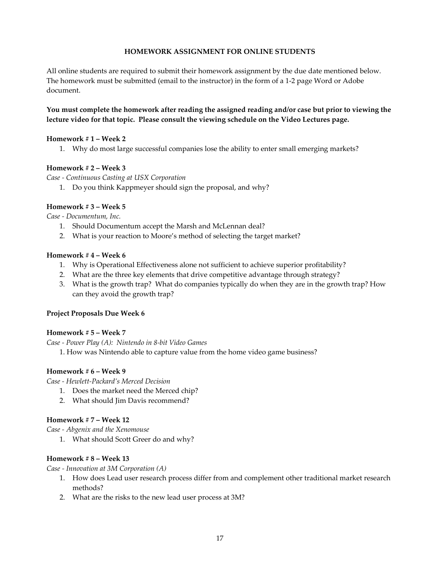#### **HOMEWORK ASSIGNMENT FOR ONLINE STUDENTS**

All online students are required to submit their homework assignment by the due date mentioned below. The homework must be submitted (email to the instructor) in the form of a 1-2 page Word or Adobe document.

#### **You must complete the homework after reading the assigned reading and/or case but prior to viewing the lecture video for that topic. Please consult the viewing schedule on the Video Lectures page.**

#### **Homework # 1 – Week 2**

1. Why do most large successful companies lose the ability to enter small emerging markets?

#### **Homework # 2 – Week 3**

*Case - Continuous Casting at USX Corporation*

1. Do you think Kappmeyer should sign the proposal, and why?

#### **Homework # 3 – Week 5**

*Case - Documentum, Inc.*

- 1. Should Documentum accept the Marsh and McLennan deal?
- 2. What is your reaction to Moore's method of selecting the target market?

#### **Homework # 4 – Week 6**

- 1. Why is Operational Effectiveness alone not sufficient to achieve superior profitability?
- 2. What are the three key elements that drive competitive advantage through strategy?
- 3. What is the growth trap? What do companies typically do when they are in the growth trap? How can they avoid the growth trap?

#### **Project Proposals Due Week 6**

#### **Homework # 5 – Week 7**

*Case - Power Play (A): Nintendo in 8-bit Video Games*

1. How was Nintendo able to capture value from the home video game business?

#### **Homework # 6 – Week 9**

*Case - Hewlett-Packard's Merced Decision*

- 1. Does the market need the Merced chip?
- 2. What should Jim Davis recommend?

#### **Homework # 7 – Week 12**

*Case - Abgenix and the Xenomouse*

1. What should Scott Greer do and why?

#### **Homework # 8 – Week 13**

*Case - Innovation at 3M Corporation (A)*

- 1. How does Lead user research process differ from and complement other traditional market research methods?
- 2. What are the risks to the new lead user process at 3M?